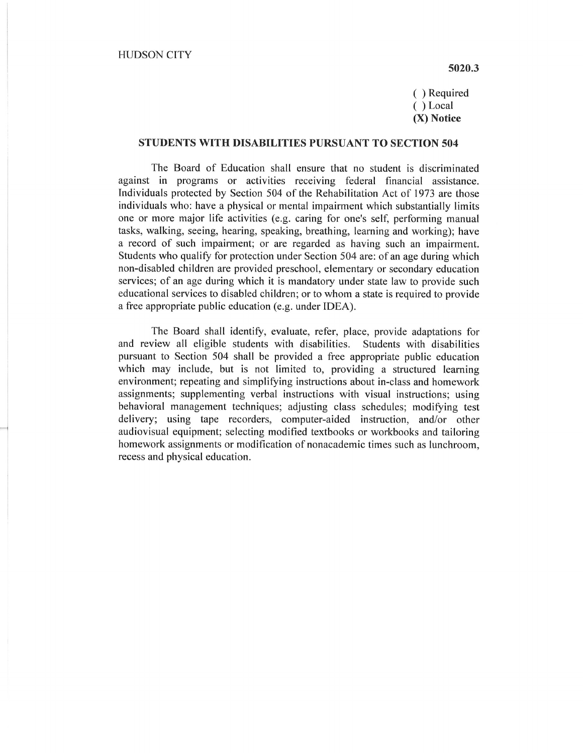## 5020.3

( ) Required ( ) Local (X) Notice

## STUDENTS WITH DISABILITIES PURSUANT TO SECTION 504

The Board of Education shall ensure that no student is discriminated against in programs or activities receiving federal financial assistance. Individuals protected by Section 504 of the Rehabilitation Act of 1973 are those individuals who: have a physical or mental impairment which substantially limits one or more major life activities (e.g. caring for one's self, performing manual tasks, walking, seeing, hearing, speaking, breathing, learning and working); have a record of such impairment; or are regarded as having such an impairment. Students who qualify for protection under Section 504 are: of an age during which non-disabled children are provided preschool, elementary or secondary education services; of an age during which it is mandatory under state law to provide such educational services to disabled children; or to whom a state is required to provide a free appropriate public education (e.g. under IDEA).

The Board shall identify, evaluate, refer, place, provide adaptations for and review all eligible students with disabilities. Students with disabilities pursuant to Section 504 shall be provided a free appropriate public education which may include, but is not limited to, providing a structured learning environment; repeating and simplifying instructions about in-class and homework assignments; supplementing verbal instructions with visual instructions; using behavioral management techniques; adjusting class schedules; modifying test delivery; using tape recorders, computer-aided instruction, and/or other audiovisual equipment; selecting modified textbooks or workbooks and tailoring homework assignments or modification of nonacademic times such as lunchroom, recess and physical education.